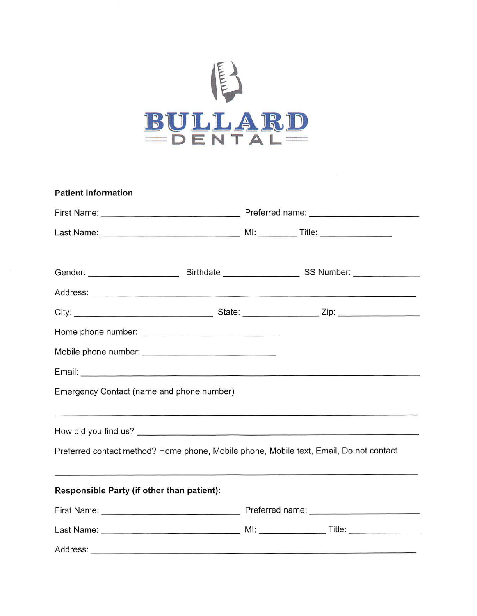

| <b>Patient Information</b>                                                                                    |  |  |  |  |
|---------------------------------------------------------------------------------------------------------------|--|--|--|--|
|                                                                                                               |  |  |  |  |
|                                                                                                               |  |  |  |  |
| Gender: ___________________________________Birthdate __________________________SS Number: ___________________ |  |  |  |  |
|                                                                                                               |  |  |  |  |
|                                                                                                               |  |  |  |  |
|                                                                                                               |  |  |  |  |
|                                                                                                               |  |  |  |  |
|                                                                                                               |  |  |  |  |
| Emergency Contact (name and phone number)                                                                     |  |  |  |  |
| <u> 1980 - Andrej Santa Garrison, Amerikaansk politik (d. 1980)</u>                                           |  |  |  |  |
| Preferred contact method? Home phone, Mobile phone, Mobile text, Email, Do not contact                        |  |  |  |  |
| Responsible Party (if other than patient):                                                                    |  |  |  |  |
|                                                                                                               |  |  |  |  |
|                                                                                                               |  |  |  |  |
| Address:                                                                                                      |  |  |  |  |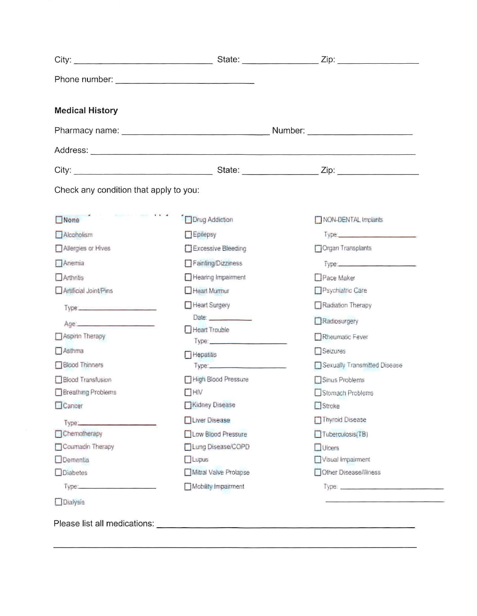| <b>Medical History</b>                     |                         |                                      |  |
|--------------------------------------------|-------------------------|--------------------------------------|--|
|                                            |                         |                                      |  |
|                                            |                         |                                      |  |
|                                            |                         |                                      |  |
| Check any condition that apply to you:     |                         |                                      |  |
| $\Box$ None                                | Drug Addiction          | NON-DENTAL Implants                  |  |
| Alcoholism                                 | Epilepsy                | Type: http://www.com/communications/ |  |
| Allergies or Hives                         | Excessive Bleeding      | Organ Transplants                    |  |
| Anemia                                     | Fainting/Dizziness      | Type: Type:                          |  |
| Arthritis                                  | Hearing Impairment      | Pace Maker                           |  |
| Artificial Joint/Pins                      | Heart Murrour           | Psychiatric Care                     |  |
| Type: <b>Committee Committee Committee</b> | Heart Surgery           | Radiation Therapy                    |  |
| Age: 2008                                  | Date: <b>Date:</b>      | Radiosurgery                         |  |
| Aspirin Therapy                            | Heart Trouble           | Rheumatic Fever                      |  |
| Asthma                                     |                         | Seizures                             |  |
| <b>Blood Thinners</b>                      | Hepatitis<br>Type: 2008 | Sexually Transmitted Disease         |  |
| Blood Transfusion                          | High Blood Pressure     | Sinus Problems                       |  |
| Breathing Problems                         | $\Box$ HiV              | Stomach Problems                     |  |
| Cancer                                     | Kidney Disease          | $\Box$ Stroke                        |  |
| Type:                                      | Liver Disease           | Thyroid Disease                      |  |
| Chemotherapy                               | Low Blood Pressure      | Tuberduloss(TB)                      |  |
| Coumadin Therapy                           | □Lung Disease/COPD      | $\Box$ Ulcers                        |  |
| Dementia                                   | $\Box$ Lupus            | Visual Impairment                    |  |
| □Diabetes                                  | Mitral Valve Prolapse   | Other Disease/liness                 |  |
|                                            | Mobility Impairment     | Type:                                |  |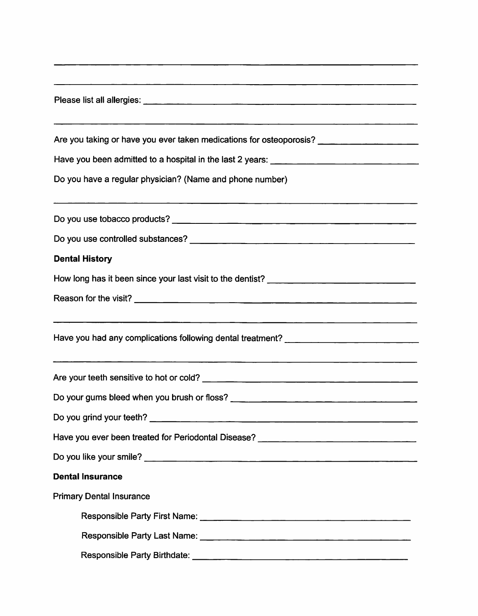| Are you taking or have you ever taken medications for osteoporosis? ___________________ |
|-----------------------------------------------------------------------------------------|
|                                                                                         |
| Do you have a regular physician? (Name and phone number)                                |
|                                                                                         |
|                                                                                         |
| <b>Dental History</b>                                                                   |
|                                                                                         |
|                                                                                         |
|                                                                                         |
|                                                                                         |
|                                                                                         |
|                                                                                         |
|                                                                                         |
|                                                                                         |
| Have you ever been treated for Periodontal Disease? ____________________________        |
|                                                                                         |
| <b>Dental Insurance</b>                                                                 |
| <b>Primary Dental Insurance</b>                                                         |
|                                                                                         |
|                                                                                         |
|                                                                                         |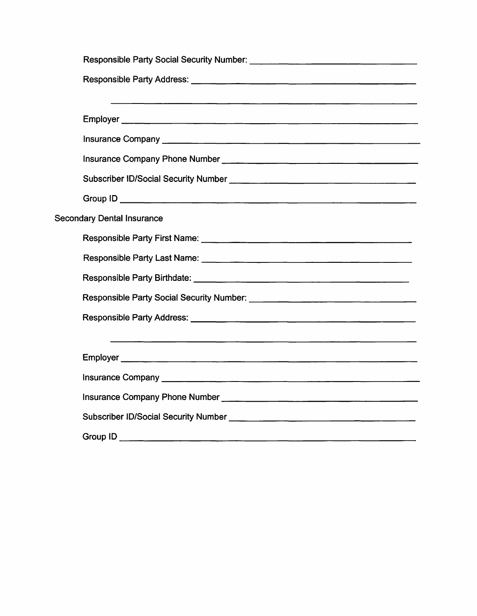| <b>Secondary Dental Insurance</b> |
|-----------------------------------|
|                                   |
|                                   |
|                                   |
|                                   |
|                                   |
|                                   |
|                                   |
|                                   |
|                                   |
|                                   |
|                                   |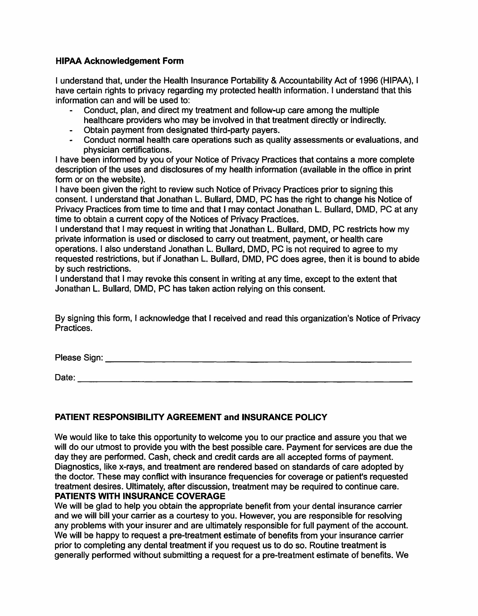## **HIPAA Acknowledgement Form**

I understand that, under the Health Insurance Portability & Accountability Act of 1996 (HIPAA), I have certain rights to privacy regarding my protected health information. I understand that this information can and will be used to:

- Conduct, plan, and direct my treatment and follow-up care among the multiple healthcare providers who may be involved in that treatment directly or indirectly.
- Obtain payment from designated third-party payers.
- Conduct normal health care operations such as quality assessments or evaluations, and physician certifications.

I have been informed by you of your Notice of Privacy Practices that contains a more complete description of the uses and disclosures of my health information (available in the office in print form or on the website).

I have been given the right to review such Notice of Privacy Practices prior to signing this consent. I understand that Jonathan L. Bullard, DMD, PC has the right to change his Notice of Privacy Practices from time to time and that I may contact Jonathan L. Bullard, DMD, PC at any time to obtain a current copy of the Notices of Privacy Practices.

I understand that I may request in writing that Jonathan L. Bullard, DMD, PC restricts how my private information is used or disclosed to carry out treatment, payment, or health care operations. I also understand Jonathan L. Bullard, DMD, PC is not required to agree to my requested restrictions, but if Jonathan L. Bullard, DMD, PC does agree, then it is bound to abide by such restrictions.

I understand that I may revoke this consent in writing at any time, except to the extent that Jonathan L. Bullard, DMD, PC has taken action relying on this consent.

By signing this form, I acknowledge that I received and read this organization's Notice of Privacy Practices.

Please Sign: **Example 20** and 20 and 20 and 20 and 20 and 20 and 20 and 20 and 20 and 20 and 20 and 20 and 20 and 20 and 20 and 20 and 20 and 20 and 20 and 20 and 20 and 20 and 20 and 20 and 20 and 20 and 20 and 20 and 20

------------------------------- Date:

## **PATIENT RESPONSIBILITY AGREEMENT and INSURANCE POLICY**

We would like to take this opportunity to welcome you to our practice and assure you that we will do our utmost to provide you with the best possible care. Payment for services are due the day they are performed. Cash, check and credit cards are all accepted forms of payment. Diagnostics, like x-rays, and treatment are rendered based on standards of care adopted by the doctor. These may conflict with insurance frequencies for coverage or patient's requested treatment desires. Ultimately, after discussion, treatment may be required to continue care. **PATIENTS WITH INSURANCE COVERAGE** 

We will be glad to help you obtain the appropriate benefit from your dental insurance carrier and we will bill your carrier as a courtesy to you. However, you are responsible for resolving any problems with your insurer and are ultimately responsible for full payment of the account. We will be happy to request a pre-treatment estimate of benefits from your insurance carrier prior to completing any dental treatment if you request us to do so. Routine treatment is generally performed without submitting a request for a pre-treatment estimate of benefits. We